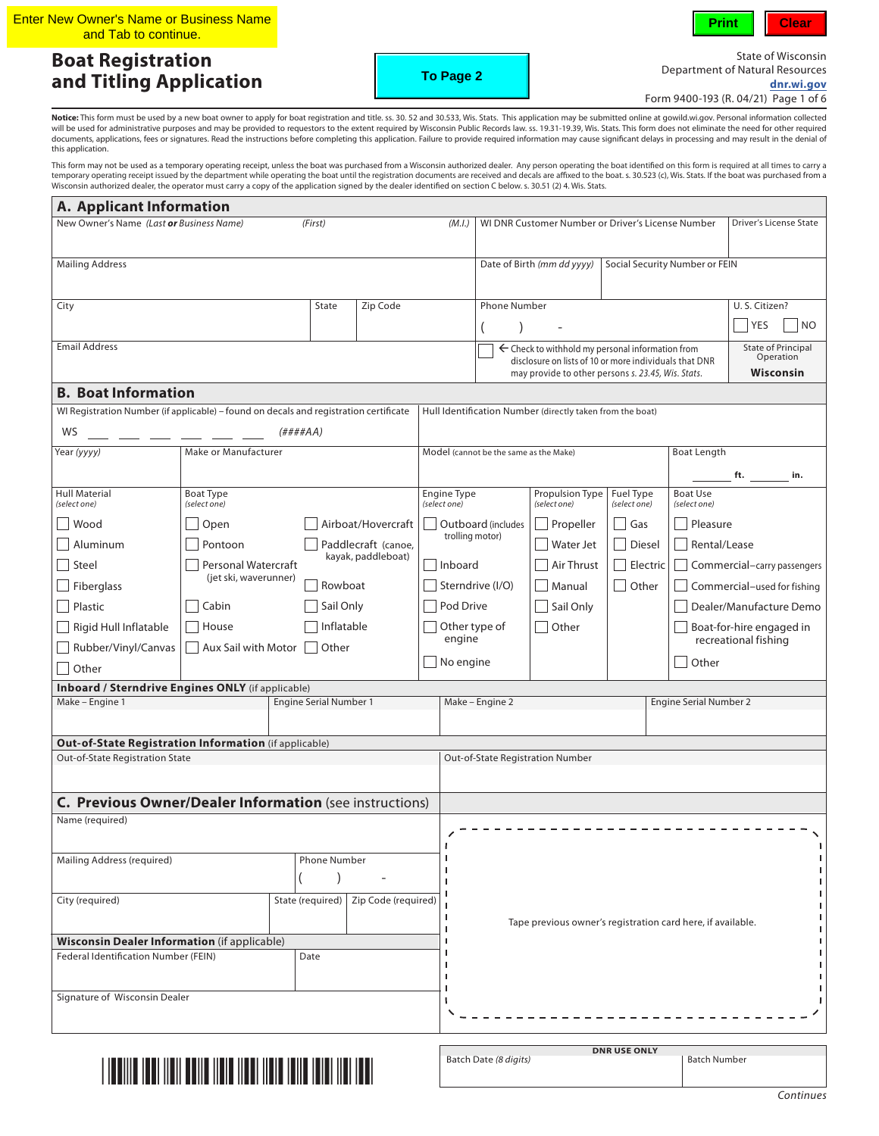#### Enter New Owner's Name or Business Name and Tab to continue.

 $\Gamma$ 

# **Boat Registration and Titling Application**



|                                        | <b>State of Wisconsin</b> |
|----------------------------------------|---------------------------|
| <b>Department of Natural Resources</b> |                           |
|                                        | dnr.wi.gov                |
| Form 9400-193 (R. 04/21) Page 1 of 6   |                           |

**Notice:** This form must be used by a new boat owner to apply for boat registration and title. ss. 30. 52 and 30.533, Wis. Stats. This application may be submitted online at gowild.wi.gov. Personal information collected<br>wi documents, applications, fees or signatures. Read the instructions before completing this application. Failure to provide required information may cause significant delays in processing and may result in the denial of this application.

**To Page 2**

This form may not be used as a temporary operating receipt, unless the boat was purchased from a Wisconsin authorized dealer. Any person operating the boat identified on this form is required at all times to carry a temporary operating receipt issued by the department while operating the boat until the registration documents are received and decals are affixed to the boat. s. 30.523 (c), Wis. Stats. If the boat was purchased from a<br>Wi

| <b>A. Applicant Information</b>                                                       |                                              |                                                             |                     |                                           |                                                                             |                                                                                                                                                                 |                                        |                                                           |                           |  |                                 |               |           |
|---------------------------------------------------------------------------------------|----------------------------------------------|-------------------------------------------------------------|---------------------|-------------------------------------------|-----------------------------------------------------------------------------|-----------------------------------------------------------------------------------------------------------------------------------------------------------------|----------------------------------------|-----------------------------------------------------------|---------------------------|--|---------------------------------|---------------|-----------|
| New Owner's Name (Last or Business Name)                                              | (First)                                      |                                                             |                     | (M.I.)                                    | Driver's License State<br>WI DNR Customer Number or Driver's License Number |                                                                                                                                                                 |                                        |                                                           |                           |  |                                 |               |           |
| <b>Mailing Address</b>                                                                |                                              |                                                             |                     |                                           |                                                                             |                                                                                                                                                                 |                                        | Date of Birth (mm dd yyyy)                                |                           |  | Social Security Number or FEIN  |               |           |
|                                                                                       |                                              |                                                             |                     |                                           |                                                                             |                                                                                                                                                                 |                                        |                                                           |                           |  |                                 |               |           |
| City                                                                                  |                                              |                                                             | State               | Zip Code                                  |                                                                             |                                                                                                                                                                 | <b>Phone Number</b>                    |                                                           |                           |  |                                 | U.S. Citizen? |           |
|                                                                                       |                                              |                                                             |                     |                                           |                                                                             |                                                                                                                                                                 |                                        |                                                           |                           |  |                                 | <b>YES</b>    | <b>NO</b> |
| <b>Email Address</b>                                                                  |                                              |                                                             |                     |                                           |                                                                             | <b>State of Principal</b><br>$\leftarrow$ Check to withhold my personal information from<br>Operation<br>disclosure on lists of 10 or more individuals that DNR |                                        |                                                           |                           |  |                                 |               |           |
|                                                                                       |                                              |                                                             |                     |                                           |                                                                             |                                                                                                                                                                 |                                        | may provide to other persons s. 23.45, Wis. Stats.        |                           |  |                                 |               | Wisconsin |
| <b>B. Boat Information</b>                                                            |                                              |                                                             |                     |                                           |                                                                             |                                                                                                                                                                 |                                        |                                                           |                           |  |                                 |               |           |
| WI Registration Number (if applicable) - found on decals and registration certificate |                                              |                                                             |                     |                                           |                                                                             |                                                                                                                                                                 |                                        | Hull Identification Number (directly taken from the boat) |                           |  |                                 |               |           |
| WS                                                                                    |                                              | (####AA)                                                    |                     |                                           |                                                                             |                                                                                                                                                                 |                                        |                                                           |                           |  |                                 |               |           |
| Year (yyyy)                                                                           | Make or Manufacturer                         |                                                             |                     |                                           |                                                                             |                                                                                                                                                                 | Model (cannot be the same as the Make) |                                                           |                           |  | <b>Boat Length</b>              |               |           |
|                                                                                       |                                              |                                                             |                     |                                           |                                                                             |                                                                                                                                                                 |                                        |                                                           |                           |  |                                 |               | in.       |
| <b>Hull Material</b><br>(select one)                                                  | <b>Boat Type</b><br>(select one)             |                                                             |                     |                                           | (select one)                                                                | <b>Engine Type</b>                                                                                                                                              |                                        | Propulsion Type<br>(select one)                           | Fuel Type<br>(select one) |  | <b>Boat Use</b><br>(select one) |               |           |
| Wood                                                                                  | Open                                         |                                                             |                     | Airboat/Hovercraft                        |                                                                             |                                                                                                                                                                 | Outboard (includes                     | $\Box$ Propeller                                          | Gas                       |  |                                 |               |           |
|                                                                                       |                                              |                                                             |                     |                                           |                                                                             | trolling motor)                                                                                                                                                 |                                        |                                                           | $\Box$ Diesel             |  | Pleasure<br>Rental/Lease        |               |           |
| Aluminum                                                                              | Pontoon                                      |                                                             |                     | Paddlecraft (canoe,<br>kayak, paddleboat) |                                                                             |                                                                                                                                                                 |                                        | Water Jet                                                 |                           |  |                                 |               |           |
| Steel                                                                                 | Personal Watercraft<br>(jet ski, waverunner) |                                                             |                     |                                           |                                                                             | Inboard                                                                                                                                                         |                                        | Air Thrust                                                | Electric                  |  | Commercial-carry passengers     |               |           |
| Fiberglass                                                                            |                                              |                                                             | Rowboat             |                                           |                                                                             |                                                                                                                                                                 | Sterndrive (I/O)                       | Manual                                                    | $\Box$ Other              |  | Commercial-used for fishing     |               |           |
| Plastic                                                                               | Cabin                                        | Sail Only                                                   |                     |                                           | Pod Drive                                                                   |                                                                                                                                                                 | Sail Only                              |                                                           |                           |  | Dealer/Manufacture Demo         |               |           |
| Rigid Hull Inflatable                                                                 | House                                        | Inflatable                                                  |                     |                                           | engine                                                                      | Other type of                                                                                                                                                   | Other                                  |                                                           |                           |  | Boat-for-hire engaged in        |               |           |
| Rubber/Vinyl/Canvas                                                                   |                                              | Aux Sail with Motor<br>Other                                |                     |                                           |                                                                             |                                                                                                                                                                 |                                        |                                                           |                           |  | recreational fishing            |               |           |
| Other                                                                                 |                                              |                                                             |                     | No engine                                 |                                                                             |                                                                                                                                                                 |                                        |                                                           | Other                     |  |                                 |               |           |
| Inboard / Sterndrive Engines ONLY (if applicable)                                     |                                              |                                                             |                     |                                           |                                                                             |                                                                                                                                                                 |                                        |                                                           |                           |  |                                 |               |           |
| Make - Engine 1<br><b>Engine Serial Number 1</b>                                      |                                              |                                                             |                     | Make - Engine 2                           |                                                                             |                                                                                                                                                                 |                                        | <b>Engine Serial Number 2</b>                             |                           |  |                                 |               |           |
|                                                                                       |                                              |                                                             |                     |                                           |                                                                             |                                                                                                                                                                 |                                        |                                                           |                           |  |                                 |               |           |
| Out-of-State Registration Information (if applicable)                                 |                                              |                                                             |                     |                                           |                                                                             |                                                                                                                                                                 |                                        |                                                           |                           |  |                                 |               |           |
| Out-of-State Registration State                                                       |                                              |                                                             |                     |                                           |                                                                             |                                                                                                                                                                 |                                        | Out-of-State Registration Number                          |                           |  |                                 |               |           |
|                                                                                       |                                              |                                                             |                     |                                           |                                                                             |                                                                                                                                                                 |                                        |                                                           |                           |  |                                 |               |           |
| <b>C. Previous Owner/Dealer Information (see instructions)</b>                        |                                              |                                                             |                     |                                           |                                                                             |                                                                                                                                                                 |                                        |                                                           |                           |  |                                 |               |           |
| Name (required)                                                                       |                                              |                                                             |                     |                                           |                                                                             |                                                                                                                                                                 |                                        |                                                           |                           |  |                                 |               |           |
| Mailing Address (required)                                                            |                                              |                                                             | <b>Phone Number</b> |                                           |                                                                             |                                                                                                                                                                 |                                        |                                                           |                           |  |                                 |               |           |
|                                                                                       |                                              |                                                             |                     |                                           |                                                                             |                                                                                                                                                                 |                                        |                                                           |                           |  |                                 |               |           |
| City (required)<br>State (required)<br>Zip Code (required)                            |                                              |                                                             |                     |                                           |                                                                             |                                                                                                                                                                 |                                        |                                                           |                           |  |                                 |               |           |
|                                                                                       |                                              | Tape previous owner's registration card here, if available. |                     |                                           |                                                                             |                                                                                                                                                                 |                                        |                                                           |                           |  |                                 |               |           |
| <b>Wisconsin Dealer Information</b> (if applicable)                                   |                                              |                                                             |                     |                                           |                                                                             |                                                                                                                                                                 |                                        |                                                           |                           |  |                                 |               |           |
| Federal Identification Number (FEIN)                                                  |                                              |                                                             | Date                |                                           |                                                                             |                                                                                                                                                                 |                                        |                                                           |                           |  |                                 |               |           |
|                                                                                       |                                              |                                                             |                     |                                           |                                                                             |                                                                                                                                                                 |                                        |                                                           |                           |  |                                 |               |           |
| Signature of Wisconsin Dealer                                                         |                                              |                                                             |                     |                                           |                                                                             |                                                                                                                                                                 |                                        |                                                           |                           |  |                                 |               |           |
|                                                                                       |                                              |                                                             |                     |                                           |                                                                             |                                                                                                                                                                 |                                        |                                                           |                           |  |                                 |               |           |
|                                                                                       |                                              |                                                             |                     |                                           |                                                                             |                                                                                                                                                                 |                                        |                                                           |                           |  |                                 |               |           |
|                                                                                       |                                              |                                                             |                     |                                           |                                                                             |                                                                                                                                                                 |                                        |                                                           |                           |  |                                 |               |           |

# 

Batch Date *(8 digits)* Batch Number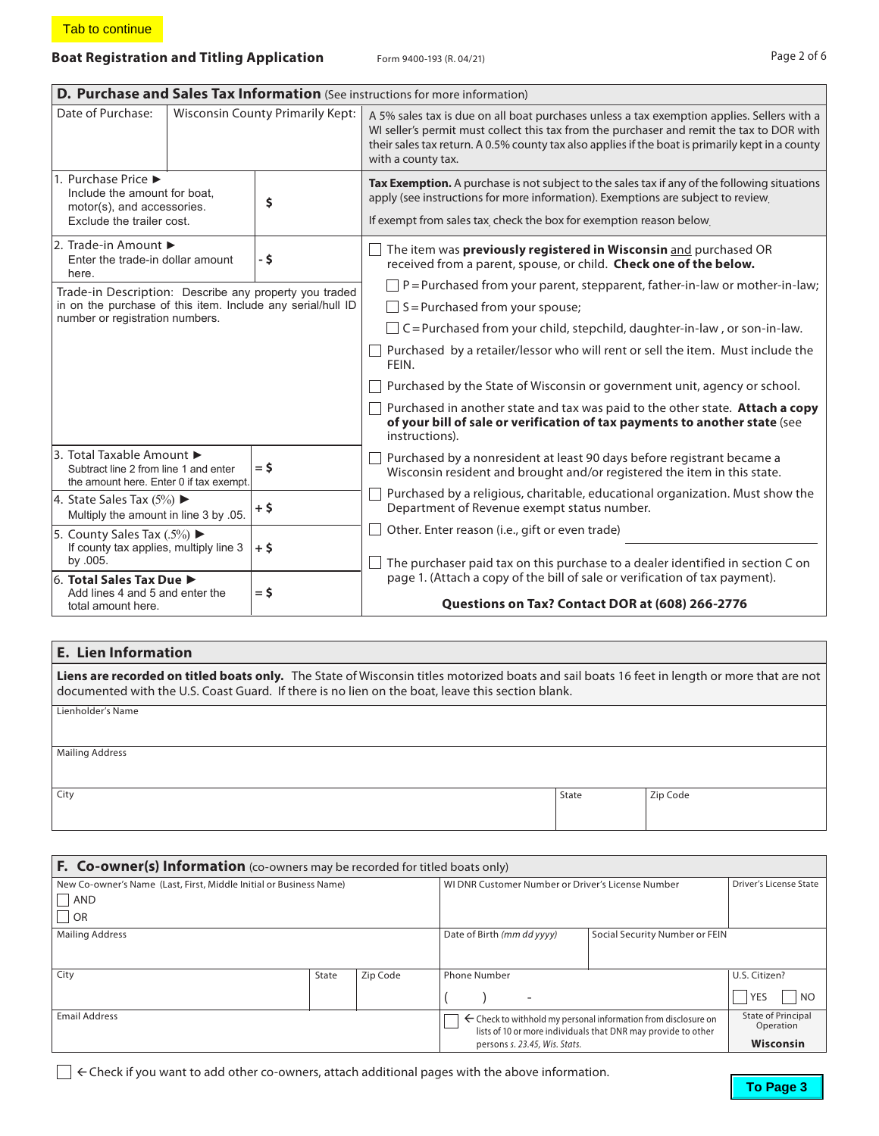# **Boat Registration and Titling Application** Form 9400-193 (R. 04/21) **Form 9400-193 (R. 04/21)** Page 2 of 6

|                                                                                                                                                          |  |                                         | D. Purchase and Sales Tax Information (See instructions for more information)                                                                                                                                                                                                                                     |
|----------------------------------------------------------------------------------------------------------------------------------------------------------|--|-----------------------------------------|-------------------------------------------------------------------------------------------------------------------------------------------------------------------------------------------------------------------------------------------------------------------------------------------------------------------|
| Date of Purchase:                                                                                                                                        |  | <b>Wisconsin County Primarily Kept:</b> | A 5% sales tax is due on all boat purchases unless a tax exemption applies. Sellers with a<br>WI seller's permit must collect this tax from the purchaser and remit the tax to DOR with<br>their sales tax return. A 0.5% county tax also applies if the boat is primarily kept in a county<br>with a county tax. |
| 1. Purchase Price ▶<br>Include the amount for boat,<br>motor(s), and accessories.<br>Exclude the trailer cost.                                           |  | \$                                      | Tax Exemption. A purchase is not subject to the sales tax if any of the following situations<br>apply (see instructions for more information). Exemptions are subject to review<br>If exempt from sales tax, check the box for exemption reason below.                                                            |
| 2. Trade-in Amount ><br>Enter the trade-in dollar amount<br>here.                                                                                        |  | $-5$                                    | The item was previously registered in Wisconsin and purchased OR<br>received from a parent, spouse, or child. Check one of the below.                                                                                                                                                                             |
| Trade-in Description: Describe any property you traded<br>in on the purchase of this item. Include any serial/hull ID<br>number or registration numbers. |  |                                         | $\Box$ P = Purchased from your parent, stepparent, father-in-law or mother-in-law;<br>$\Box$ S = Purchased from your spouse;<br>$\Box$ C = Purchased from your child, stepchild, daughter-in-law, or son-in-law.                                                                                                  |
|                                                                                                                                                          |  |                                         | Purchased by a retailer/lessor who will rent or sell the item. Must include the<br>FEIN.                                                                                                                                                                                                                          |
|                                                                                                                                                          |  |                                         | Purchased by the State of Wisconsin or government unit, agency or school.                                                                                                                                                                                                                                         |
|                                                                                                                                                          |  |                                         | Purchased in another state and tax was paid to the other state. Attach a copy<br>of your bill of sale or verification of tax payments to another state (see<br>instructions).                                                                                                                                     |
| 3. Total Taxable Amount ▶<br>Subtract line 2 from line 1 and enter<br>the amount here. Enter 0 if tax exempt.                                            |  | $=$ \$                                  | $\Box$ Purchased by a nonresident at least 90 days before registrant became a<br>Wisconsin resident and brought and/or registered the item in this state.                                                                                                                                                         |
| 4. State Sales Tax $(5\%) \blacktriangleright$<br>Multiply the amount in line 3 by .05.                                                                  |  | $+$ \$                                  | Purchased by a religious, charitable, educational organization. Must show the<br>Department of Revenue exempt status number.                                                                                                                                                                                      |
| 5. County Sales Tax $(.5%)$<br>If county tax applies, multiply line 3<br>by .005.                                                                        |  | $+$ \$                                  | Other. Enter reason (i.e., gift or even trade)<br>$\mathbf{L}$<br>The purchaser paid tax on this purchase to a dealer identified in section C on                                                                                                                                                                  |
| $ 6$ . Total Sales Tax Due $\blacktriangleright$<br>Add lines 4 and 5 and enter the<br>total amount here.                                                |  | $=$ \$                                  | page 1. (Attach a copy of the bill of sale or verification of tax payment).<br>Questions on Tax? Contact DOR at (608) 266-2776                                                                                                                                                                                    |

| $\mathsf E$ . Lien Information                                                                                                                                                                                                                   |       |          |  |
|--------------------------------------------------------------------------------------------------------------------------------------------------------------------------------------------------------------------------------------------------|-------|----------|--|
| Liens are recorded on titled boats only. The State of Wisconsin titles motorized boats and sail boats 16 feet in length or more that are not<br>documented with the U.S. Coast Guard. If there is no lien on the boat, leave this section blank. |       |          |  |
| Lienholder's Name                                                                                                                                                                                                                                |       |          |  |
| <b>Mailing Address</b>                                                                                                                                                                                                                           |       |          |  |
| City                                                                                                                                                                                                                                             | State | Zip Code |  |

| <b>F. Co-owner(s) Information</b> (co-owners may be recorded for titled boats only) |       |          |                                                   |                                                                                                                                            |                                        |
|-------------------------------------------------------------------------------------|-------|----------|---------------------------------------------------|--------------------------------------------------------------------------------------------------------------------------------------------|----------------------------------------|
| New Co-owner's Name (Last, First, Middle Initial or Business Name)                  |       |          | WI DNR Customer Number or Driver's License Number |                                                                                                                                            | <b>Driver's License State</b>          |
| $\Box$ AND                                                                          |       |          |                                                   |                                                                                                                                            |                                        |
| OR                                                                                  |       |          |                                                   |                                                                                                                                            |                                        |
| <b>Mailing Address</b>                                                              |       |          | Date of Birth (mm dd yyyy)                        | Social Security Number or FEIN                                                                                                             |                                        |
| City                                                                                | State | Zip Code | <b>Phone Number</b>                               |                                                                                                                                            | U.S. Citizen?                          |
|                                                                                     |       |          |                                                   |                                                                                                                                            | <b>YES</b><br>  NC                     |
| <b>Email Address</b>                                                                |       |          |                                                   | $\leftarrow$ Check to withhold my personal information from disclosure on<br>lists of 10 or more individuals that DNR may provide to other | <b>State of Principal</b><br>Operation |
|                                                                                     |       |          | persons s. 23.45, Wis. Stats.                     |                                                                                                                                            | Wisconsin                              |

 $\Box \in$  Check if you want to add other co-owners, attach additional pages with the above information.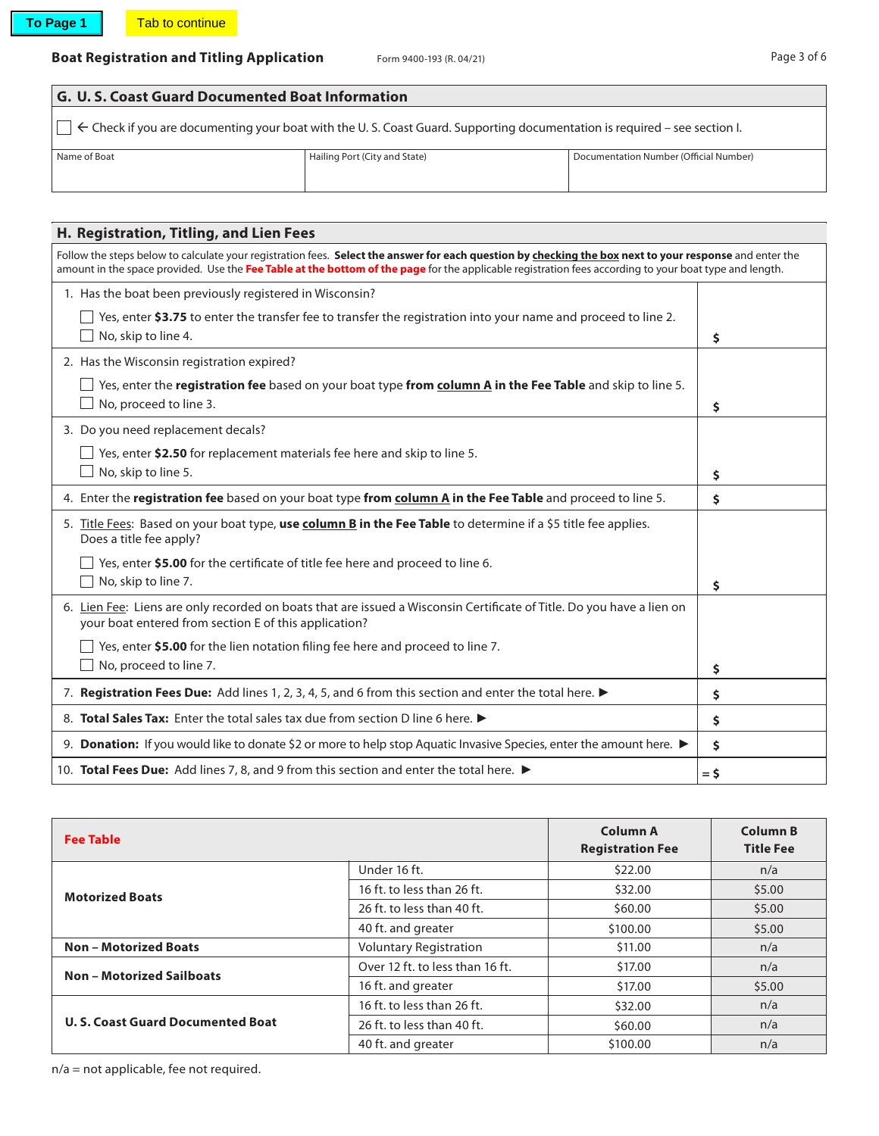# **Boat Registration and Titling Application** Form 9400-193 (R. 04/21) **Figure 2 and Strutter Page 3 of 6** Page 3 of 6

| G. U.S. Coast Guard Documented Boat Information                                                                               |                               |                                        |  |  |  |
|-------------------------------------------------------------------------------------------------------------------------------|-------------------------------|----------------------------------------|--|--|--|
| $\in$ Check if you are documenting your boat with the U.S. Coast Guard. Supporting documentation is required – see section I. |                               |                                        |  |  |  |
| Name of Boat                                                                                                                  | Hailing Port (City and State) | Documentation Number (Official Number) |  |  |  |

| H. Registration, Titling, and Lien Fees                                                                                                                                                                                                                                                                           |    |  |
|-------------------------------------------------------------------------------------------------------------------------------------------------------------------------------------------------------------------------------------------------------------------------------------------------------------------|----|--|
| Follow the steps below to calculate your registration fees. Select the answer for each question by checking the box next to your response and enter the<br>amount in the space provided. Use the Fee Table at the bottom of the page for the applicable registration fees according to your boat type and length. |    |  |
| 1. Has the boat been previously registered in Wisconsin?                                                                                                                                                                                                                                                          |    |  |
| Yes, enter \$3.75 to enter the transfer fee to transfer the registration into your name and proceed to line 2.<br>No, skip to line 4.                                                                                                                                                                             | \$ |  |
| 2. Has the Wisconsin registration expired?                                                                                                                                                                                                                                                                        |    |  |
| $\Box$ Yes, enter the <b>registration fee</b> based on your boat type from <b>column A</b> in the Fee Table and skip to line 5.<br>No, proceed to line 3.                                                                                                                                                         | \$ |  |
| 3. Do you need replacement decals?                                                                                                                                                                                                                                                                                |    |  |
| Yes, enter \$2.50 for replacement materials fee here and skip to line 5.<br>No, skip to line 5.                                                                                                                                                                                                                   | \$ |  |
| 4. Enter the registration fee based on your boat type from column A in the Fee Table and proceed to line 5.                                                                                                                                                                                                       | \$ |  |
| 5. Title Fees: Based on your boat type, use column B in the Fee Table to determine if a \$5 title fee applies.<br>Does a title fee apply?                                                                                                                                                                         |    |  |
| Yes, enter \$5.00 for the certificate of title fee here and proceed to line 6.                                                                                                                                                                                                                                    |    |  |
| No, skip to line 7.<br>- 1                                                                                                                                                                                                                                                                                        | \$ |  |
| 6. Lien Fee: Liens are only recorded on boats that are issued a Wisconsin Certificate of Title. Do you have a lien on<br>your boat entered from section E of this application?                                                                                                                                    |    |  |
| Yes, enter \$5.00 for the lien notation filing fee here and proceed to line 7.                                                                                                                                                                                                                                    |    |  |
| No, proceed to line 7.                                                                                                                                                                                                                                                                                            | \$ |  |
| 7. Registration Fees Due: Add lines 1, 2, 3, 4, 5, and 6 from this section and enter the total here. $\blacktriangleright$<br>\$                                                                                                                                                                                  |    |  |
| 8. Total Sales Tax: Enter the total sales tax due from section D line 6 here.                                                                                                                                                                                                                                     | \$ |  |
| 9. Donation: If you would like to donate \$2 or more to help stop Aquatic Invasive Species, enter the amount here. $\blacktriangleright$<br>\$                                                                                                                                                                    |    |  |
| 10. Total Fees Due: Add lines 7, 8, and 9 from this section and enter the total here.<br>$=$ \$                                                                                                                                                                                                                   |    |  |

| <b>Fee Table</b>                        |                                 | Column A<br><b>Registration Fee</b> | <b>Column B</b><br><b>Title Fee</b> |
|-----------------------------------------|---------------------------------|-------------------------------------|-------------------------------------|
|                                         | Under 16 ft.                    | \$22.00                             | n/a                                 |
| <b>Motorized Boats</b>                  | 16 ft. to less than 26 ft.      | \$32.00                             | \$5.00                              |
|                                         | 26 ft. to less than 40 ft.      | \$60.00                             | \$5.00                              |
|                                         | 40 ft. and greater              | \$100.00                            | \$5.00                              |
| <b>Non - Motorized Boats</b>            | <b>Voluntary Registration</b>   | \$11.00                             | n/a                                 |
| <b>Non - Motorized Sailboats</b>        | Over 12 ft. to less than 16 ft. | \$17.00                             | n/a                                 |
|                                         | 16 ft. and greater              | \$17.00                             | \$5.00                              |
|                                         | 16 ft. to less than 26 ft.      | \$32.00                             | n/a                                 |
| <b>U.S. Coast Guard Documented Boat</b> | 26 ft. to less than 40 ft.      | \$60.00                             | n/a                                 |
|                                         | 40 ft. and greater              | \$100.00                            | n/a                                 |

n/a = not applicable, fee not required.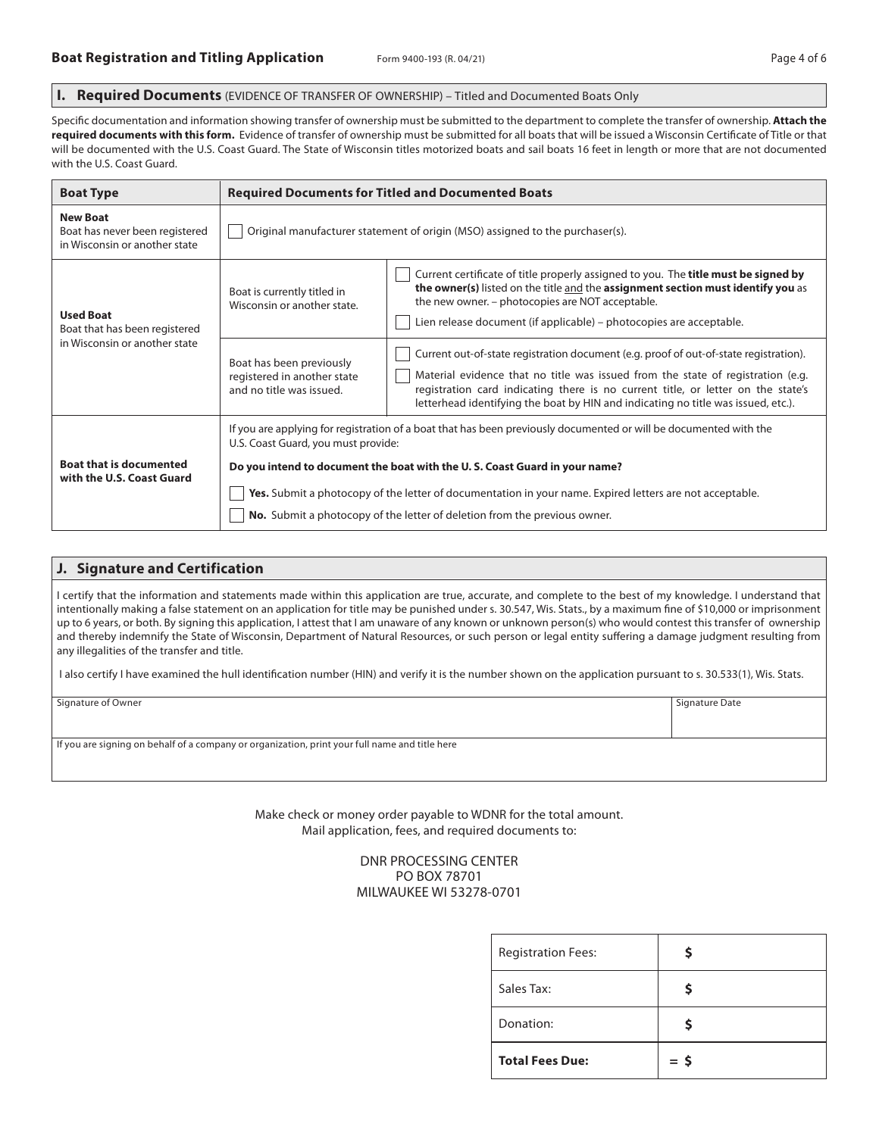#### **I. Required Documents** (EVIDENCE OF TRANSFER OF OWNERSHIP) – Titled and Documented Boats Only

Specific documentation and information showing transfer of ownership must be submitted to the department to complete the transfer of ownership. **Attach the required documents with this form.** Evidence of transfer of ownership must be submitted for all boats that will be issued a Wisconsin Certificate of Title or that will be documented with the U.S. Coast Guard. The State of Wisconsin titles motorized boats and sail boats 16 feet in length or more that are not documented with the U.S. Coast Guard.

| <b>Boat Type</b>                                                                   | <b>Required Documents for Titled and Documented Boats</b>                                                                                                                                                                                                           |                                                                                                                                                                                                                                                                                                                                                   |  |  |  |
|------------------------------------------------------------------------------------|---------------------------------------------------------------------------------------------------------------------------------------------------------------------------------------------------------------------------------------------------------------------|---------------------------------------------------------------------------------------------------------------------------------------------------------------------------------------------------------------------------------------------------------------------------------------------------------------------------------------------------|--|--|--|
| <b>New Boat</b><br>Boat has never been registered<br>in Wisconsin or another state | Original manufacturer statement of origin (MSO) assigned to the purchaser(s).                                                                                                                                                                                       |                                                                                                                                                                                                                                                                                                                                                   |  |  |  |
| <b>Used Boat</b><br>Boat that has been registered                                  | Boat is currently titled in<br>Wisconsin or another state.                                                                                                                                                                                                          | Current certificate of title properly assigned to you. The <b>title must be signed by</b><br>the owner(s) listed on the title and the assignment section must identify you as<br>the new owner. - photocopies are NOT acceptable.<br>Lien release document (if applicable) – photocopies are acceptable.                                          |  |  |  |
| in Wisconsin or another state                                                      | Boat has been previously<br>registered in another state<br>and no title was issued.                                                                                                                                                                                 | Current out-of-state registration document (e.g. proof of out-of-state registration).<br>Material evidence that no title was issued from the state of registration (e.g.<br>registration card indicating there is no current title, or letter on the state's<br>letterhead identifying the boat by HIN and indicating no title was issued, etc.). |  |  |  |
|                                                                                    | If you are applying for registration of a boat that has been previously documented or will be documented with the<br>U.S. Coast Guard, you must provide:                                                                                                            |                                                                                                                                                                                                                                                                                                                                                   |  |  |  |
| <b>Boat that is documented</b><br>with the U.S. Coast Guard                        | Do you intend to document the boat with the U.S. Coast Guard in your name?<br>Yes. Submit a photocopy of the letter of documentation in your name. Expired letters are not acceptable.<br>No. Submit a photocopy of the letter of deletion from the previous owner. |                                                                                                                                                                                                                                                                                                                                                   |  |  |  |
|                                                                                    |                                                                                                                                                                                                                                                                     |                                                                                                                                                                                                                                                                                                                                                   |  |  |  |
|                                                                                    |                                                                                                                                                                                                                                                                     |                                                                                                                                                                                                                                                                                                                                                   |  |  |  |

### **J. Signature and Certification**

I certify that the information and statements made within this application are true, accurate, and complete to the best of my knowledge. I understand that intentionally making a false statement on an application for title may be punished under s. 30.547, Wis. Stats., by a maximum fine of \$10,000 or imprisonment up to 6 years, or both. By signing this application, I attest that I am unaware of any known or unknown person(s) who would contest this transfer of ownership and thereby indemnify the State of Wisconsin, Department of Natural Resources, or such person or legal entity suffering a damage judgment resulting from any illegalities of the transfer and title.

I also certify I have examined the hull identification number (HIN) and verify it is the number shown on the application pursuant to s. 30.533(1), Wis. Stats.

Signature of Owner

If you are signing on behalf of a company or organization, print your full name and title here

Make check or money order payable to WDNR for the total amount. Mail application, fees, and required documents to:

## DNR PROCESSING CENTER PO BOX 78701 MILWAUKEE WI 53278-0701

| <b>Registration Fees:</b> |       |
|---------------------------|-------|
| Sales Tax:                | S     |
| Donation:                 |       |
| <b>Total Fees Due:</b>    | $= S$ |

Signature Date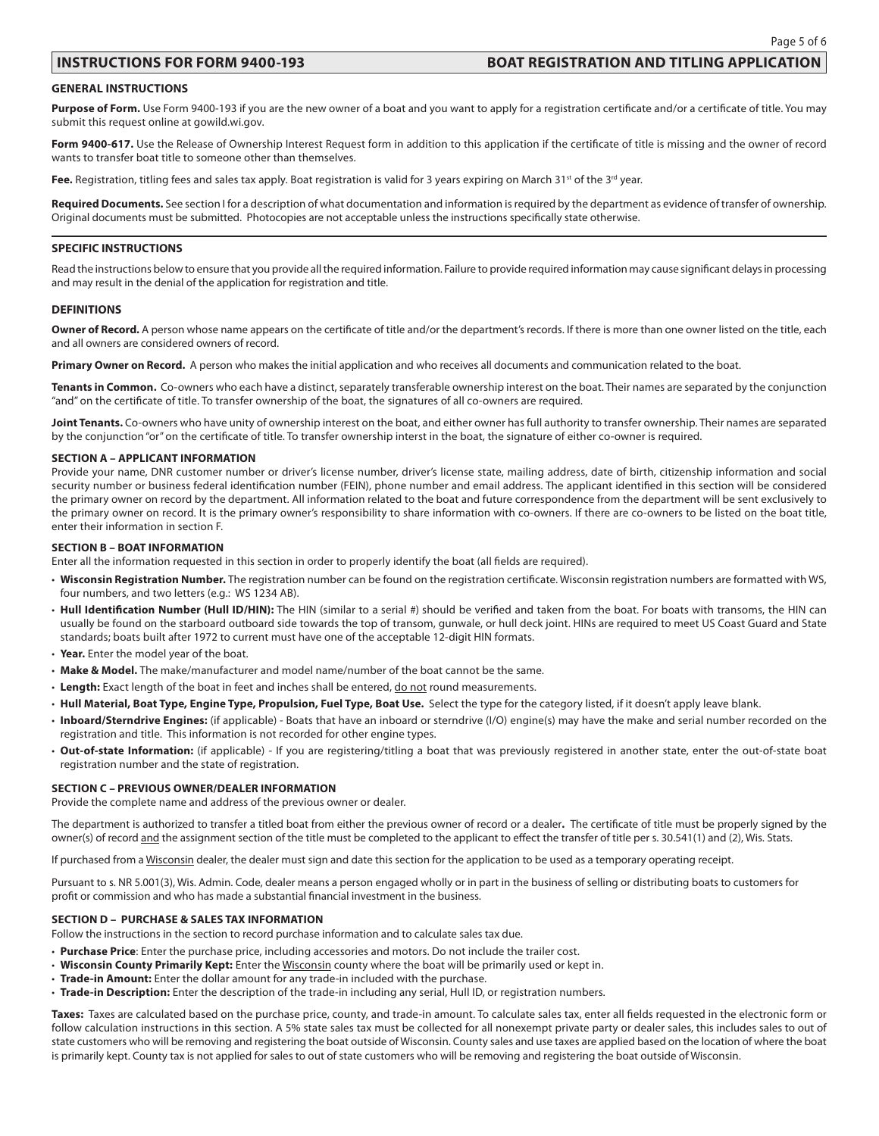#### Page 5 of 6

# **INSTRUCTIONS FOR FORM 9400-193 BOAT REGISTRATION AND TITLING APPLICATION**

#### **GENERAL INSTRUCTIONS**

Purpose of Form. Use Form 9400-193 if you are the new owner of a boat and you want to apply for a registration certificate and/or a certificate of title. You may submit this request online at gowild.wi.gov.

Form 9400-617. Use the Release of Ownership Interest Request form in addition to this application if the certificate of title is missing and the owner of record wants to transfer boat title to someone other than themselves.

**Fee.** Registration, titling fees and sales tax apply. Boat registration is valid for 3 years expiring on March 31<sup>st</sup> of the 3<sup>rd</sup> year.

**Required Documents.** See section I for a description of what documentation and information is required by the department as evidence of transfer of ownership. Original documents must be submitted. Photocopies are not acceptable unless the instructions specifically state otherwise.

#### **SPECIFIC INSTRUCTIONS**

Read the instructions below to ensure that you provide all the required information. Failure to provide required information may cause significant delays in processing and may result in the denial of the application for registration and title.

#### **DEFINITIONS**

**Owner of Record.** A person whose name appears on the certificate of title and/or the department's records. If there is more than one owner listed on the title, each and all owners are considered owners of record.

**Primary Owner on Record.** A person who makes the initial application and who receives all documents and communication related to the boat.

**Tenants in Common.** Co-owners who each have a distinct, separately transferable ownership interest on the boat. Their names are separated by the conjunction "and" on the certificate of title. To transfer ownership of the boat, the signatures of all co-owners are required.

Joint Tenants. Co-owners who have unity of ownership interest on the boat, and either owner has full authority to transfer ownership. Their names are separated by the conjunction "or" on the certificate of title. To transfer ownership interst in the boat, the signature of either co-owner is required.

#### **SECTION A – APPLICANT INFORMATION**

Provide your name, DNR customer number or driver's license number, driver's license state, mailing address, date of birth, citizenship information and social security number or business federal identification number (FEIN), phone number and email address. The applicant identified in this section will be considered the primary owner on record by the department. All information related to the boat and future correspondence from the department will be sent exclusively to the primary owner on record. It is the primary owner's responsibility to share information with co-owners. If there are co-owners to be listed on the boat title, enter their information in section F.

#### **SECTION B – BOAT INFORMATION**

Enter all the information requested in this section in order to properly identify the boat (all fields are required).

- **Wisconsin Registration Number.** The registration number can be found on the registration certificate. Wisconsin registration numbers are formatted with WS, four numbers, and two letters (e.g.: WS 1234 AB).
- **Hull Identification Number (Hull ID/HIN):** The HIN (similar to a serial #) should be verified and taken from the boat. For boats with transoms, the HIN can usually be found on the starboard outboard side towards the top of transom, gunwale, or hull deck joint. HINs are required to meet US Coast Guard and State standards; boats built after 1972 to current must have one of the acceptable 12-digit HIN formats.
- **Year.** Enter the model year of the boat.
- **Make & Model.** The make/manufacturer and model name/number of the boat cannot be the same.
- Length: Exact length of the boat in feet and inches shall be entered, do not round measurements.
- **Hull Material, Boat Type, Engine Type, Propulsion, Fuel Type, Boat Use.** Select the type for the category listed, if it doesn't apply leave blank.
- **Inboard/Sterndrive Engines:** (if applicable) Boats that have an inboard or sterndrive (I/O) engine(s) may have the make and serial number recorded on the registration and title. This information is not recorded for other engine types.
- **Out-of-state Information:** (if applicable) If you are registering/titling a boat that was previously registered in another state, enter the out-of-state boat registration number and the state of registration.

#### **SECTION C – PREVIOUS OWNER/DEALER INFORMATION**

Provide the complete name and address of the previous owner or dealer.

The department is authorized to transfer a titled boat from either the previous owner of record or a dealer**.** The certificate of title must be properly signed by the owner(s) of record and the assignment section of the title must be completed to the applicant to effect the transfer of title per s. 30.541(1) and (2), Wis. Stats.

If purchased from a Wisconsin dealer, the dealer must sign and date this section for the application to be used as a temporary operating receipt.

Pursuant to s. NR 5.001(3), Wis. Admin. Code, dealer means a person engaged wholly or in part in the business of selling or distributing boats to customers for profit or commission and who has made a substantial financial investment in the business.

#### **SECTION D – PURCHASE & SALES TAX INFORMATION**

Follow the instructions in the section to record purchase information and to calculate sales tax due.

- **Purchase Price**: Enter the purchase price, including accessories and motors. Do not include the trailer cost.
- **Wisconsin County Primarily Kept:** Enter the Wisconsin county where the boat will be primarily used or kept in.
- **Trade-in Amount:** Enter the dollar amount for any trade-in included with the purchase.
- **Trade-in Description:** Enter the description of the trade-in including any serial, Hull ID, or registration numbers.

**Taxes:** Taxes are calculated based on the purchase price, county, and trade-in amount. To calculate sales tax, enter all fields requested in the electronic form or follow calculation instructions in this section. A 5% state sales tax must be collected for all nonexempt private party or dealer sales, this includes sales to out of state customers who will be removing and registering the boat outside of Wisconsin. County sales and use taxes are applied based on the location of where the boat is primarily kept. County tax is not applied for sales to out of state customers who will be removing and registering the boat outside of Wisconsin.